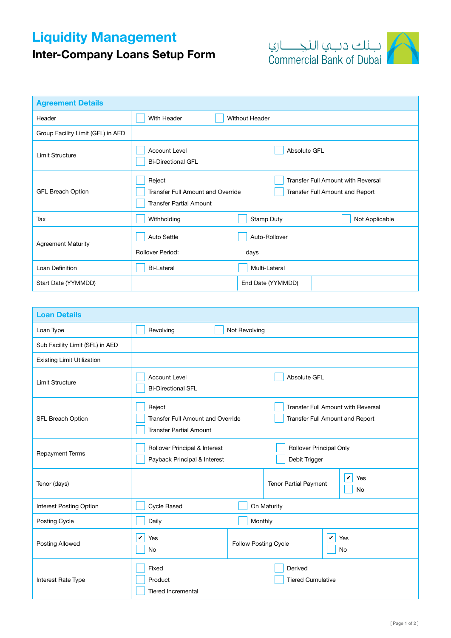## Liquidity Management

## Inter-Company Loans Setup Form



| <b>Agreement Details</b>          |                                                                                                                                                                                                                                                                                            |  |  |
|-----------------------------------|--------------------------------------------------------------------------------------------------------------------------------------------------------------------------------------------------------------------------------------------------------------------------------------------|--|--|
| Header                            | With Header<br><b>Without Header</b>                                                                                                                                                                                                                                                       |  |  |
| Group Facility Limit (GFL) in AED |                                                                                                                                                                                                                                                                                            |  |  |
| Limit Structure                   | <b>Account Level</b><br>Absolute GFL<br><b>Bi-Directional GFL</b>                                                                                                                                                                                                                          |  |  |
| <b>GFL Breach Option</b>          | Transfer Full Amount with Reversal<br>Reject<br>Transfer Full Amount and Override<br>Transfer Full Amount and Report<br><b>Transfer Partial Amount</b>                                                                                                                                     |  |  |
| Tax                               | Stamp Duty<br>Not Applicable<br>Withholding                                                                                                                                                                                                                                                |  |  |
| <b>Agreement Maturity</b>         | <b>Auto Settle</b><br>Auto-Rollover<br>Rollover Period: North States and States and States and States and States and States and States and States and States and States and States and States and States and States and States and States and States and States and S<br><sub>-</sub> days |  |  |
| Loan Definition                   | <b>Bi-Lateral</b><br>Multi-Lateral                                                                                                                                                                                                                                                         |  |  |
| Start Date (YYMMDD)               | End Date (YYMMDD)                                                                                                                                                                                                                                                                          |  |  |

| <b>Loan Details</b>               |                                                                                                                                                               |                      |                                                                  |  |
|-----------------------------------|---------------------------------------------------------------------------------------------------------------------------------------------------------------|----------------------|------------------------------------------------------------------|--|
| Loan Type                         | Revolving<br>Not Revolving                                                                                                                                    |                      |                                                                  |  |
| Sub Facility Limit (SFL) in AED   |                                                                                                                                                               |                      |                                                                  |  |
| <b>Existing Limit Utilization</b> |                                                                                                                                                               |                      |                                                                  |  |
| <b>Limit Structure</b>            | <b>Account Level</b><br>Absolute GFL<br><b>Bi-Directional SFL</b>                                                                                             |                      |                                                                  |  |
| SFL Breach Option                 | Reject<br>Transfer Full Amount with Reversal<br><b>Transfer Full Amount and Override</b><br>Transfer Full Amount and Report<br><b>Transfer Partial Amount</b> |                      |                                                                  |  |
| <b>Repayment Terms</b>            | Rollover Principal & Interest<br>Payback Principal & Interest                                                                                                 |                      | Rollover Principal Only<br>Debit Trigger                         |  |
| Tenor (days)                      |                                                                                                                                                               |                      | $\checkmark$<br>Yes<br><b>Tenor Partial Payment</b><br><b>No</b> |  |
| <b>Interest Posting Option</b>    | Cycle Based                                                                                                                                                   | On Maturity          |                                                                  |  |
| Posting Cycle                     | Daily                                                                                                                                                         | Monthly              |                                                                  |  |
| <b>Posting Allowed</b>            | V<br>Yes<br><b>No</b>                                                                                                                                         | Follow Posting Cycle | $\mathbf v$<br>Yes<br>No                                         |  |
| Interest Rate Type                | Fixed<br>Product<br><b>Tiered Incremental</b>                                                                                                                 |                      | Derived<br><b>Tiered Cumulative</b>                              |  |